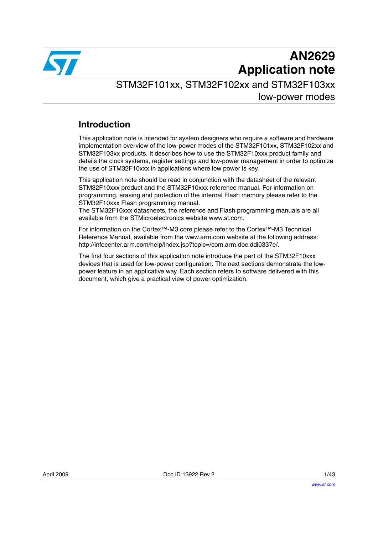

# **AN2629 Application note**

STM32F101xx, STM32F102xx and STM32F103xx low-power modes

## **Introduction**

This application note is intended for system designers who require a software and hardware implementation overview of the low-power modes of the STM32F101xx, STM32F102xx and STM32F103xx products. It describes how to use the STM32F10xxx product family and details the clock systems, register settings and low-power management in order to optimize the use of STM32F10xxx in applications where low power is key.

This application note should be read in conjunction with the datasheet of the relevant STM32F10xxx product and the STM32F10xxx reference manual. For information on programming, erasing and protection of the internal Flash memory please refer to the STM32F10xxx Flash programming manual.

The STM32F10xxx datasheets, the reference and Flash programming manuals are all available from the STMicroelectronics website www.st.com*.*

For information on the Cortex™-M3 core please refer to the Cortex™-M3 Technical Reference Manual, available from the www.arm.com website at the following address: http://infocenter.arm.com/help/index.jsp?topic=/com.arm.doc.ddi0337e/.

The first four sections of this application note introduce the part of the STM32F10xxx devices that is used for low-power configuration. The next sections demonstrate the lowpower feature in an applicative way. Each section refers to software delivered with this document, which give a practical view of power optimization.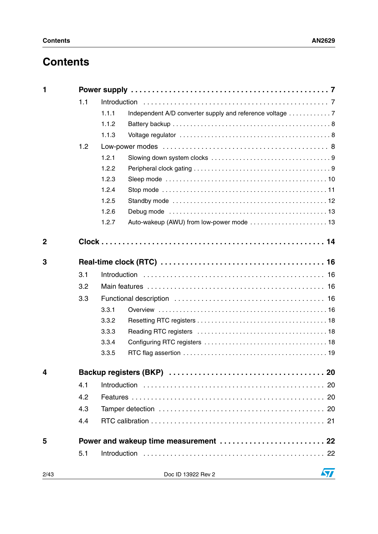## **Contents**

| $\mathbf{1}$            |     |                                                                |    |  |  |
|-------------------------|-----|----------------------------------------------------------------|----|--|--|
|                         | 1.1 |                                                                |    |  |  |
|                         |     | 1.1.1                                                          |    |  |  |
|                         |     | 1.1.2                                                          |    |  |  |
|                         |     | 1.1.3                                                          |    |  |  |
|                         | 1.2 |                                                                |    |  |  |
|                         |     | 1.2.1                                                          |    |  |  |
|                         |     | 1.2.2                                                          |    |  |  |
|                         |     | 1.2.3                                                          |    |  |  |
|                         |     | 1.2.4                                                          |    |  |  |
|                         |     | 1.2.5                                                          |    |  |  |
|                         |     | 1.2.6                                                          |    |  |  |
|                         |     | 1.2.7                                                          |    |  |  |
| $\mathbf 2$             |     |                                                                |    |  |  |
| 3                       |     |                                                                |    |  |  |
|                         | 3.1 |                                                                |    |  |  |
|                         | 3.2 |                                                                |    |  |  |
|                         | 3.3 |                                                                |    |  |  |
|                         |     | 3.3.1                                                          |    |  |  |
|                         |     | 3.3.2                                                          |    |  |  |
|                         |     | 3.3.3                                                          |    |  |  |
|                         |     | 3.3.4                                                          |    |  |  |
|                         |     | 3.3.5                                                          |    |  |  |
| $\overline{\mathbf{4}}$ |     |                                                                |    |  |  |
|                         | 4.1 |                                                                |    |  |  |
|                         | 4.2 |                                                                |    |  |  |
|                         | 4.3 |                                                                |    |  |  |
|                         | 4.4 |                                                                |    |  |  |
| 5                       |     | Power and wakeup time measurement  22                          |    |  |  |
|                         | 5.1 |                                                                |    |  |  |
|                         |     |                                                                |    |  |  |
| 2/43                    |     | Doc ID 13922 Rev 2<br><u> 1980 - Johann Barbara, martxa al</u> | 57 |  |  |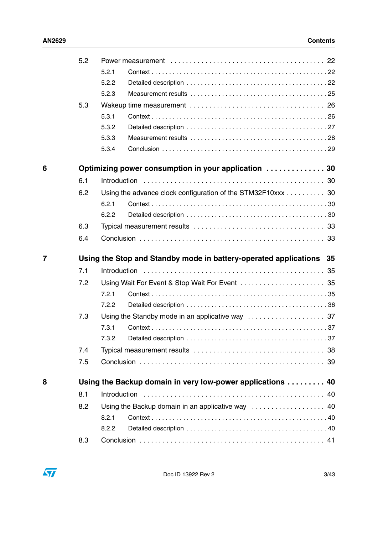|                | 5.2 |       |                                                                     |    |
|----------------|-----|-------|---------------------------------------------------------------------|----|
|                |     | 5.2.1 |                                                                     |    |
|                |     | 5.2.2 |                                                                     |    |
|                |     | 5.2.3 |                                                                     |    |
|                | 5.3 |       |                                                                     |    |
|                |     | 5.3.1 |                                                                     |    |
|                |     | 5.3.2 |                                                                     |    |
|                |     | 5.3.3 |                                                                     |    |
|                |     | 5.3.4 |                                                                     |    |
| 6              |     |       | Optimizing power consumption in your application  30                |    |
|                | 6.1 |       |                                                                     |    |
|                | 6.2 |       | Using the advance clock configuration of the STM32F10xxx 30         |    |
|                |     | 6.2.1 |                                                                     |    |
|                |     | 6.2.2 |                                                                     |    |
|                | 6.3 |       |                                                                     |    |
|                | 6.4 |       |                                                                     |    |
|                |     |       |                                                                     |    |
| $\overline{7}$ |     |       | Using the Stop and Standby mode in battery-operated applications 35 |    |
|                | 7.1 |       |                                                                     |    |
|                |     |       |                                                                     |    |
|                | 7.2 | 7.2.1 |                                                                     |    |
|                |     | 7.2.2 |                                                                     |    |
|                |     |       |                                                                     |    |
|                | 7.3 | 7.3.1 |                                                                     |    |
|                |     | 7.3.2 |                                                                     |    |
|                | 7.4 |       |                                                                     |    |
|                | 7.5 |       |                                                                     | 39 |
|                |     |       |                                                                     |    |
| 8              |     |       | Using the Backup domain in very low-power applications  40          |    |
|                | 8.1 |       |                                                                     | 40 |
|                | 8.2 |       |                                                                     |    |
|                |     | 8.2.1 |                                                                     |    |
|                | 8.3 | 8.2.2 |                                                                     |    |

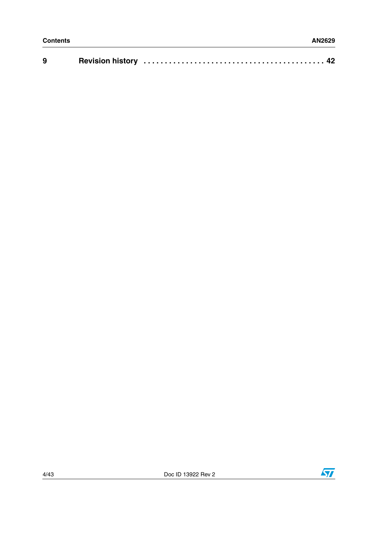| 9 |  |  |  |
|---|--|--|--|
|---|--|--|--|



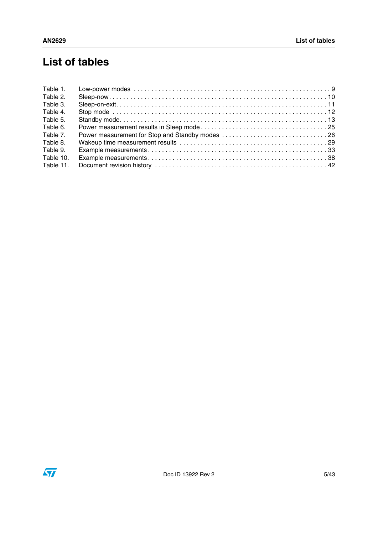## **List of tables**

| Table 1.  |  |
|-----------|--|
| Table 2.  |  |
| Table 3.  |  |
| Table 4.  |  |
| Table 5.  |  |
| Table 6.  |  |
| Table 7.  |  |
| Table 8.  |  |
| Table 9.  |  |
| Table 10. |  |
| Table 11. |  |

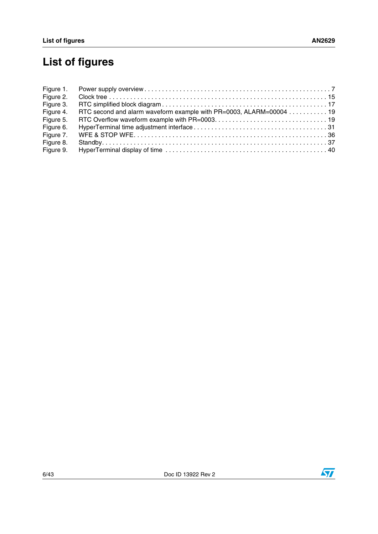# **List of figures**

| Figure 1. |                                                                    |
|-----------|--------------------------------------------------------------------|
| Figure 2. |                                                                    |
| Figure 3. |                                                                    |
| Figure 4. | RTC second and alarm waveform example with PR=0003, ALARM=00004 19 |
| Figure 5. |                                                                    |
| Figure 6. |                                                                    |
| Figure 7. |                                                                    |
| Figure 8. |                                                                    |
| Figure 9. |                                                                    |



 $\sqrt{2}$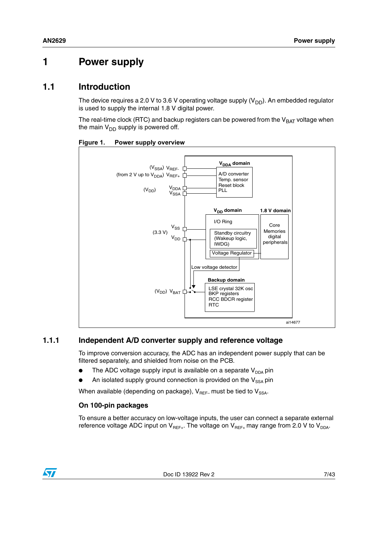## <span id="page-6-0"></span>**1 Power supply**

## <span id="page-6-1"></span>**1.1 Introduction**

The device requires a 2.0 V to 3.6 V operating voltage supply  $(V_{DD})$ . An embedded regulator is used to supply the internal 1.8 V digital power.

The real-time clock (RTC) and backup registers can be powered from the  $V_{BAT}$  voltage when the main  $V_{DD}$  supply is powered off.



<span id="page-6-3"></span>**Figure 1. Power supply overview**

#### <span id="page-6-2"></span>**1.1.1 Independent A/D converter supply and reference voltage**

To improve conversion accuracy, the ADC has an independent power supply that can be filtered separately, and shielded from noise on the PCB.

- The ADC voltage supply input is available on a separate  $V_{DDA}$  pin
- An isolated supply ground connection is provided on the  $V_{SSA}$  pin

When available (depending on package),  $V_{REF-}$  must be tied to  $V_{SSA}$ .

#### **On 100-pin packages**

To ensure a better accuracy on low-voltage inputs, the user can connect a separate external reference voltage ADC input on  $V_{REF+}$ . The voltage on  $V_{REF+}$  may range from 2.0 V to  $V_{DDA}$ .

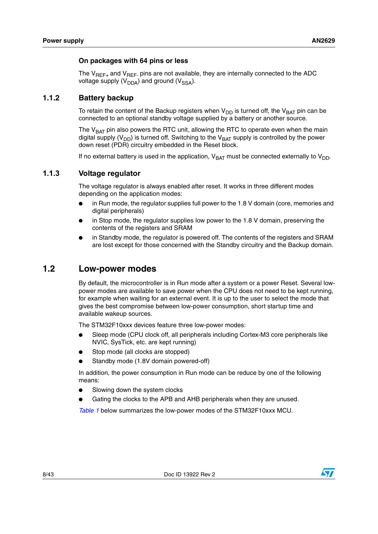#### **On packages with 64 pins or less**

The  $V_{\text{BFE}_{+}}$  and  $V_{\text{BFE}}$  pins are not available, they are internally connected to the ADC voltage supply  $(V_{DDA})$  and ground  $(V_{SSA})$ .

#### <span id="page-7-0"></span>**1.1.2 Battery backup**

To retain the content of the Backup registers when  $V_{DD}$  is turned off, the  $V_{BAT}$  pin can be connected to an optional standby voltage supplied by a battery or another source.

The  $V<sub>BAT</sub>$  pin also powers the RTC unit, allowing the RTC to operate even when the main digital supply ( $V_{DD}$ ) is turned off. Switching to the  $V_{BAT}$  supply is controlled by the power down reset (PDR) circuitry embedded in the Reset block.

If no external battery is used in the application,  $V_{BAT}$  must be connected externally to  $V_{DD}$ .

#### <span id="page-7-1"></span>**1.1.3 Voltage regulator**

The voltage regulator is always enabled after reset. It works in three different modes depending on the application modes:

- in Run mode, the regulator supplies full power to the 1.8 V domain (core, memories and digital peripherals)
- in Stop mode, the regulator supplies low power to the  $1.8$  V domain, preserving the contents of the registers and SRAM
- in Standby mode, the regulator is powered off. The contents of the registers and SRAM are lost except for those concerned with the Standby circuitry and the Backup domain.

## <span id="page-7-2"></span>**1.2 Low-power modes**

By default, the microcontroller is in Run mode after a system or a power Reset. Several lowpower modes are available to save power when the CPU does not need to be kept running, for example when waiting for an external event. It is up to the user to select the mode that gives the best compromise between low-power consumption, short startup time and available wakeup sources.

The STM32F10xxx devices feature three low-power modes:

- Sleep mode (CPU clock off, all peripherals including Cortex-M3 core peripherals like NVIC, SysTick, etc. are kept running)
- Stop mode (all clocks are stopped)
- Standby mode (1.8V domain powered-off)

In addition, the power consumption in Run mode can be reduce by one of the following means:

- Slowing down the system clocks
- Gating the clocks to the APB and AHB peripherals when they are unused.

*[Table 1](#page-8-2)* below summarizes the low-power modes of the STM32F10xxx MCU.

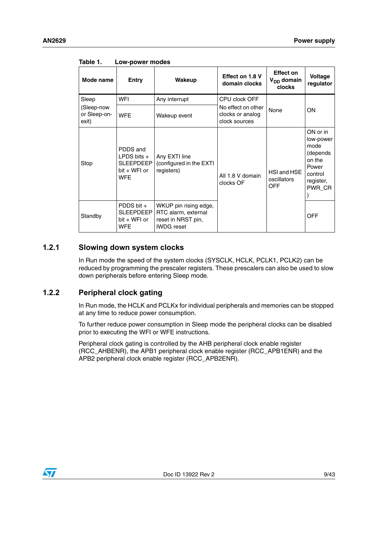| Mode name                           | Entry                                                                       | Wakeup                                                                                  | Effect on 1.8 V<br>domain clocks                        | <b>Effect on</b><br>V <sub>DD</sub> domain<br>clocks | Voltage<br>regulator                                                                           |  |
|-------------------------------------|-----------------------------------------------------------------------------|-----------------------------------------------------------------------------------------|---------------------------------------------------------|------------------------------------------------------|------------------------------------------------------------------------------------------------|--|
| Sleep                               | WFI                                                                         | Any interrupt                                                                           | CPU clock OFF                                           |                                                      |                                                                                                |  |
| (Sleep-now<br>or Sleep-on-<br>exit) | <b>WFE</b>                                                                  | Wakeup event                                                                            | No effect on other<br>clocks or analog<br>clock sources | None                                                 | ON                                                                                             |  |
| Stop                                | PDDS and<br>LPDS bits $+$<br><b>SLEEPDEEP</b><br>bit + WFI or<br><b>WFE</b> | Any EXTI line<br>(configured in the EXTI<br>registers)                                  | All 1.8 V domain<br>clocks OF                           | HSI and HSE<br>oscillators<br><b>OFF</b>             | ON or in<br>low-power<br>mode<br>(depends<br>on the<br>Power<br>control<br>register,<br>PWR CR |  |
| Standby                             | PDDS bit $+$<br>SLEEPDEEP I<br>bit + WFI or<br><b>WFE</b>                   | WKUP pin rising edge,<br>RTC alarm, external<br>reset in NRST pin,<br><b>IWDG</b> reset |                                                         |                                                      | <b>OFF</b>                                                                                     |  |

<span id="page-8-2"></span>Table 1. **Low-power modes** 

### <span id="page-8-0"></span>**1.2.1 Slowing down system clocks**

In Run mode the speed of the system clocks (SYSCLK, HCLK, PCLK1, PCLK2) can be reduced by programming the prescaler registers. These prescalers can also be used to slow down peripherals before entering Sleep mode.

#### <span id="page-8-1"></span>**1.2.2 Peripheral clock gating**

In Run mode, the HCLK and PCLKx for individual peripherals and memories can be stopped at any time to reduce power consumption.

To further reduce power consumption in Sleep mode the peripheral clocks can be disabled prior to executing the WFI or WFE instructions.

Peripheral clock gating is controlled by the AHB peripheral clock enable register (RCC\_AHBENR), the APB1 peripheral clock enable register (RCC\_APB1ENR) and the APB2 peripheral clock enable register (RCC\_APB2ENR).

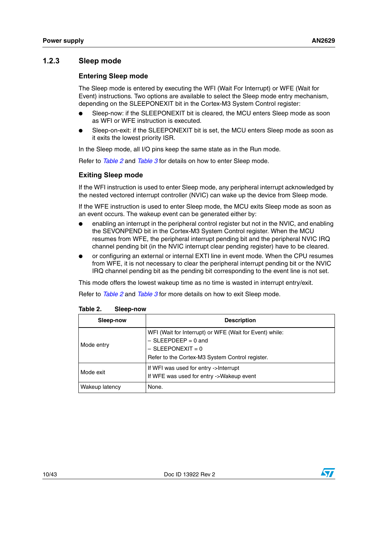#### <span id="page-9-0"></span>**1.2.3 Sleep mode**

#### **Entering Sleep mode**

The Sleep mode is entered by executing the WFI (Wait For Interrupt) or WFE (Wait for Event) instructions. Two options are available to select the Sleep mode entry mechanism, depending on the SLEEPONEXIT bit in the Cortex-M3 System Control register:

- Sleep-now: if the SLEEPONEXIT bit is cleared, the MCU enters Sleep mode as soon as WFI or WFE instruction is executed.
- Sleep-on-exit: if the SLEEPONEXIT bit is set, the MCU enters Sleep mode as soon as it exits the lowest priority ISR.

In the Sleep mode, all I/O pins keep the same state as in the Run mode.

Refer to *Table 2* and *Table 3* for details on how to enter Sleep mode.

#### **Exiting Sleep mode**

If the WFI instruction is used to enter Sleep mode, any peripheral interrupt acknowledged by the nested vectored interrupt controller (NVIC) can wake up the device from Sleep mode.

If the WFE instruction is used to enter Sleep mode, the MCU exits Sleep mode as soon as an event occurs. The wakeup event can be generated either by:

- enabling an interrupt in the peripheral control register but not in the NVIC, and enabling the SEVONPEND bit in the Cortex-M3 System Control register. When the MCU resumes from WFE, the peripheral interrupt pending bit and the peripheral NVIC IRQ channel pending bit (in the NVIC interrupt clear pending register) have to be cleared.
- or configuring an external or internal EXTI line in event mode. When the CPU resumes from WFE, it is not necessary to clear the peripheral interrupt pending bit or the NVIC IRQ channel pending bit as the pending bit corresponding to the event line is not set.

This mode offers the lowest wakeup time as no time is wasted in interrupt entry/exit.

Refer to *Table 2* and *Table 3* for more details on how to exit Sleep mode.

| Sleep-now      | <b>Description</b>                                                                                                                                         |  |  |
|----------------|------------------------------------------------------------------------------------------------------------------------------------------------------------|--|--|
| Mode entry     | WFI (Wait for Interrupt) or WFE (Wait for Event) while:<br>$-$ SLEEPDEEP = 0 and<br>$-$ SLEEPONEXIT = 0<br>Refer to the Cortex-M3 System Control register. |  |  |
| Mode exit      | If WFI was used for entry ->Interrupt<br>If WFE was used for entry ->Wakeup event                                                                          |  |  |
| Wakeup latency | None.                                                                                                                                                      |  |  |

<span id="page-9-1"></span>

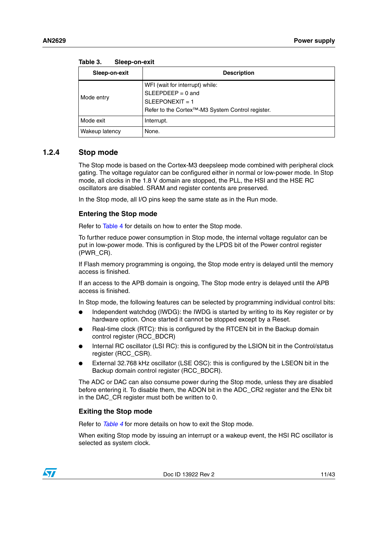| .              |                                                                                                                                              |
|----------------|----------------------------------------------------------------------------------------------------------------------------------------------|
| Sleep-on-exit  | <b>Description</b>                                                                                                                           |
| Mode entry     | WFI (wait for interrupt) while:<br>$SLEEPDEEP = 0$ and<br>$SLEEPONEXIT = 1$<br>Refer to the Cortex <sup>™</sup> -M3 System Control register. |
| Mode exit      | Interrupt.                                                                                                                                   |
| Wakeup latency | None.                                                                                                                                        |

<span id="page-10-1"></span>Toble 2 **Table 3. Sleep-on-exit**

#### <span id="page-10-0"></span>**1.2.4 Stop mode**

The Stop mode is based on the Cortex-M3 deepsleep mode combined with peripheral clock gating. The voltage regulator can be configured either in normal or low-power mode. In Stop mode, all clocks in the 1.8 V domain are stopped, the PLL, the HSI and the HSE RC oscillators are disabled. SRAM and register contents are preserved.

In the Stop mode, all I/O pins keep the same state as in the Run mode.

#### **Entering the Stop mode**

Refer to Table 4 for details on how to enter the Stop mode.

To further reduce power consumption in Stop mode, the internal voltage regulator can be put in low-power mode. This is configured by the LPDS bit of the Power control register (PWR\_CR).

If Flash memory programming is ongoing, the Stop mode entry is delayed until the memory access is finished.

If an access to the APB domain is ongoing, The Stop mode entry is delayed until the APB access is finished.

In Stop mode, the following features can be selected by programming individual control bits:

- Independent watchdog (IWDG): the IWDG is started by writing to its Key register or by hardware option. Once started it cannot be stopped except by a Reset.
- Real-time clock (RTC): this is configured by the RTCEN bit in the Backup domain control register (RCC\_BDCR)
- Internal RC oscillator (LSI RC): this is configured by the LSION bit in the Control/status register (RCC\_CSR).
- External 32.768 kHz oscillator (LSE OSC): this is configured by the LSEON bit in the Backup domain control register (RCC\_BDCR).

The ADC or DAC can also consume power during the Stop mode, unless they are disabled before entering it. To disable them, the ADON bit in the ADC\_CR2 register and the ENx bit in the DAC CR register must both be written to 0.

#### **Exiting the Stop mode**

Refer to *Table 4* for more details on how to exit the Stop mode.

When exiting Stop mode by issuing an interrupt or a wakeup event, the HSI RC oscillator is selected as system clock.

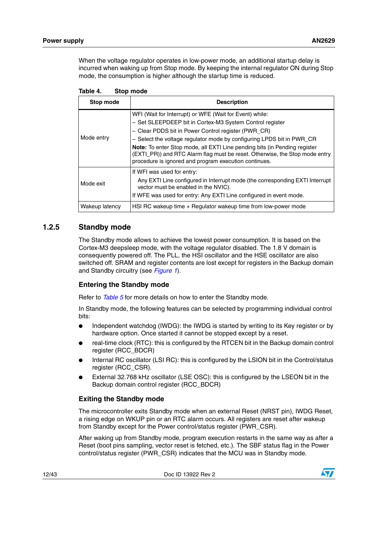When the voltage regulator operates in low-power mode, an additional startup delay is incurred when waking up from Stop mode. By keeping the internal regulator ON during Stop mode, the consumption is higher although the startup time is reduced.

| Stop mode      | <b>Description</b>                                                                                                                                                                                                                                                                                                                                                                                                                                                              |
|----------------|---------------------------------------------------------------------------------------------------------------------------------------------------------------------------------------------------------------------------------------------------------------------------------------------------------------------------------------------------------------------------------------------------------------------------------------------------------------------------------|
| Mode entry     | WFI (Wait for Interrupt) or WFE (Wait for Event) while:<br>- Set SLEEPDEEP bit in Cortex-M3 System Control register<br>- Clear PDDS bit in Power Control register (PWR CR)<br>- Select the voltage regulator mode by configuring LPDS bit in PWR_CR<br><b>Note:</b> To enter Stop mode, all EXTI Line pending bits (in Pending register<br>(EXTI_PR)) and RTC Alarm flag must be reset. Otherwise, the Stop mode entry<br>procedure is ignored and program execution continues. |
| Mode exit      | If WFI was used for entry:<br>Any EXTI Line configured in Interrupt mode (the corresponding EXTI Interrupt<br>vector must be enabled in the NVIC).<br>If WFE was used for entry: Any EXTI Line configured in event mode.                                                                                                                                                                                                                                                        |
| Wakeup latency | HSI RC wakeup time + Regulator wakeup time from low-power mode                                                                                                                                                                                                                                                                                                                                                                                                                  |

<span id="page-11-1"></span>Table 4. Stop mode

#### <span id="page-11-0"></span>**1.2.5 Standby mode**

The Standby mode allows to achieve the lowest power consumption. It is based on the Cortex-M3 deepsleep mode, with the voltage regulator disabled. The 1.8 V domain is consequently powered off. The PLL, the HSI oscillator and the HSE oscillator are also switched off. SRAM and register contents are lost except for registers in the Backup domain and Standby circuitry (see *Figure 1*).

#### **Entering the Standby mode**

Refer to *Table 5* for more details on how to enter the Standby mode.

In Standby mode, the following features can be selected by programming individual control bits:

- Independent watchdog (IWDG): the IWDG is started by writing to its Key register or by hardware option. Once started it cannot be stopped except by a reset.
- real-time clock (RTC): this is configured by the RTCEN bit in the Backup domain control register (RCC\_BDCR)
- Internal RC oscillator (LSI RC): this is configured by the LSION bit in the Control/status register (RCC\_CSR).
- External 32.768 kHz oscillator (LSE OSC): this is configured by the LSEON bit in the Backup domain control register (RCC\_BDCR)

#### **Exiting the Standby mode**

The microcontroller exits Standby mode when an external Reset (NRST pin), IWDG Reset, a rising edge on WKUP pin or an RTC alarm occurs. All registers are reset after wakeup from Standby except for the Power control/status register (PWR\_CSR).

After waking up from Standby mode, program execution restarts in the same way as after a Reset (boot pins sampling, vector reset is fetched, etc.). The SBF status flag in the Power control/status register (PWR\_CSR) indicates that the MCU was in Standby mode.

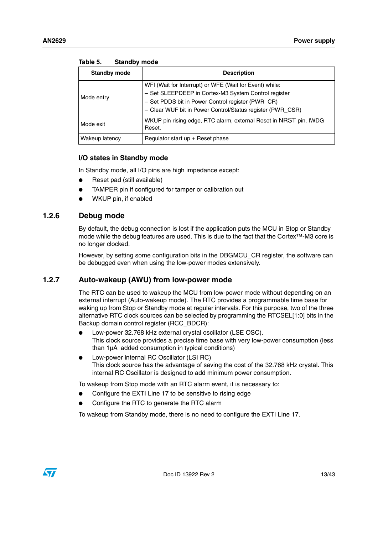| <b>Standby mode</b> | <b>Description</b>                                                                                                                                                                                                                 |  |  |  |
|---------------------|------------------------------------------------------------------------------------------------------------------------------------------------------------------------------------------------------------------------------------|--|--|--|
| Mode entry          | WFI (Wait for Interrupt) or WFE (Wait for Event) while:<br>- Set SLEEPDEEP in Cortex-M3 System Control register<br>- Set PDDS bit in Power Control register (PWR_CR)<br>- Clear WUF bit in Power Control/Status register (PWR_CSR) |  |  |  |
| Mode exit           | WKUP pin rising edge, RTC alarm, external Reset in NRST pin, IWDG<br>Reset.                                                                                                                                                        |  |  |  |
| Wakeup latency      | Regulator start $up$ + Reset phase                                                                                                                                                                                                 |  |  |  |

<span id="page-12-2"></span>Table 5 **Standby mode** 

#### **I/O states in Standby mode**

In Standby mode, all I/O pins are high impedance except:

- Reset pad (still available)
- TAMPER pin if configured for tamper or calibration out
- WKUP pin, if enabled

#### <span id="page-12-0"></span>**1.2.6 Debug mode**

By default, the debug connection is lost if the application puts the MCU in Stop or Standby mode while the debug features are used. This is due to the fact that the Cortex™-M3 core is no longer clocked.

However, by setting some configuration bits in the DBGMCU\_CR register, the software can be debugged even when using the low-power modes extensively.

#### <span id="page-12-1"></span>**1.2.7 Auto-wakeup (AWU) from low-power mode**

The RTC can be used to wakeup the MCU from low-power mode without depending on an external interrupt (Auto-wakeup mode). The RTC provides a programmable time base for waking up from Stop or Standby mode at regular intervals. For this purpose, two of the three alternative RTC clock sources can be selected by programming the RTCSEL[1:0] bits in the Backup domain control register (RCC\_BDCR):

- Low-power 32.768 kHz external crystal oscillator (LSE OSC). This clock source provides a precise time base with very low-power consumption (less than 1µA added consumption in typical conditions)
- Low-power internal RC Oscillator (LSI RC) This clock source has the advantage of saving the cost of the 32.768 kHz crystal. This internal RC Oscillator is designed to add minimum power consumption.

To wakeup from Stop mode with an RTC alarm event, it is necessary to:

- Configure the EXTI Line 17 to be sensitive to rising edge
- Configure the RTC to generate the RTC alarm

To wakeup from Standby mode, there is no need to configure the EXTI Line 17.

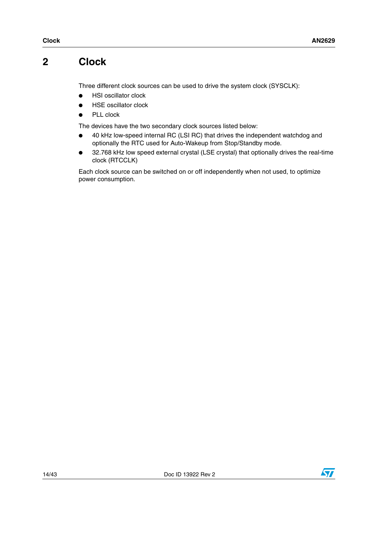## <span id="page-13-0"></span>**2 Clock**

Three different clock sources can be used to drive the system clock (SYSCLK):

- HSI oscillator clock
- **HSE oscillator clock**
- PLL clock

The devices have the two secondary clock sources listed below:

- 40 kHz low-speed internal RC (LSI RC) that drives the independent watchdog and optionally the RTC used for Auto-Wakeup from Stop/Standby mode.
- 32.768 kHz low speed external crystal (LSE crystal) that optionally drives the real-time clock (RTCCLK)

Each clock source can be switched on or off independently when not used, to optimize power consumption.

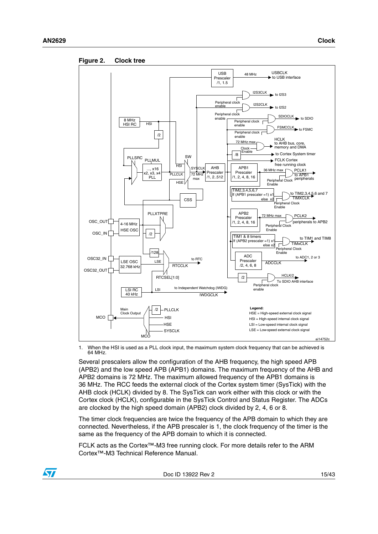<span id="page-14-0"></span>



1. When the HSI is used as a PLL clock input, the maximum system clock frequency that can be achieved is 64 MHz.

Several prescalers allow the configuration of the AHB frequency, the high speed APB (APB2) and the low speed APB (APB1) domains. The maximum frequency of the AHB and APB2 domains is 72 MHz. The maximum allowed frequency of the APB1 domains is 36 MHz. The RCC feeds the external clock of the Cortex system timer (SysTick) with the AHB clock (HCLK) divided by 8. The SysTick can work either with this clock or with the Cortex clock (HCLK), configurable in the SysTick Control and Status Register. The ADCs are clocked by the high speed domain (APB2) clock divided by 2, 4, 6 or 8.

The timer clock frequencies are twice the frequency of the APB domain to which they are connected. Nevertheless, if the APB prescaler is 1, the clock frequency of the timer is the same as the frequency of the APB domain to which it is connected.

FCLK acts as the Cortex™-M3 free running clock. For more details refer to the ARM Cortex™-M3 Technical Reference Manual.

Doc ID 13922 Rev 2 15/43

![](_page_14_Picture_10.jpeg)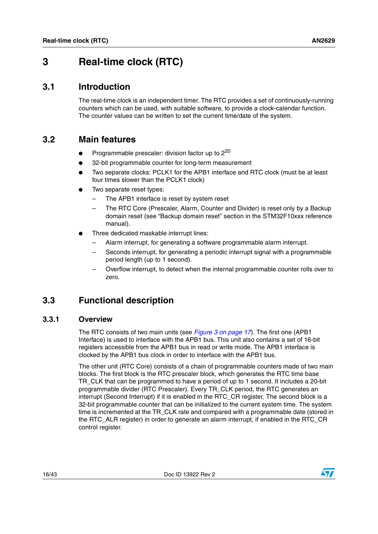## <span id="page-15-0"></span>**3 Real-time clock (RTC)**

### <span id="page-15-1"></span>**3.1 Introduction**

The real-time clock is an independent timer. The RTC provides a set of continuously-running counters which can be used, with suitable software, to provide a clock-calendar function. The counter values can be written to set the current time/date of the system.

### <span id="page-15-2"></span>**3.2 Main features**

- Programmable prescaler: division factor up to  $2^{20}$
- 32-bit programmable counter for long-term measurement
- Two separate clocks: PCLK1 for the APB1 interface and RTC clock (must be at least four times slower than the PCLK1 clock)
- Two separate reset types:
	- The APB1 interface is reset by system reset
	- The RTC Core (Prescaler, Alarm, Counter and Divider) is reset only by a Backup domain reset (see "Backup domain reset" section in the STM32F10xxx reference manual).
- Three dedicated maskable interrupt lines:
	- Alarm interrupt, for generating a software programmable alarm interrupt.
	- Seconds interrupt, for generating a periodic interrupt signal with a programmable period length (up to 1 second).
	- Overflow interrupt, to detect when the internal programmable counter rolls over to zero.

## <span id="page-15-3"></span>**3.3 Functional description**

#### <span id="page-15-4"></span>**3.3.1 Overview**

The RTC consists of two main units (see *[Figure 3 on page 17](#page-16-0)*). The first one (APB1 Interface) is used to interface with the APB1 bus. This unit also contains a set of 16-bit registers accessible from the APB1 bus in read or write mode. The APB1 interface is clocked by the APB1 bus clock in order to interface with the APB1 bus.

The other unit (RTC Core) consists of a chain of programmable counters made of two main blocks. The first block is the RTC prescaler block, which generates the RTC time base TR\_CLK that can be programmed to have a period of up to 1 second. It includes a 20-bit programmable divider (RTC Prescaler). Every TR\_CLK period, the RTC generates an interrupt (Second Interrupt) if it is enabled in the RTC\_CR register. The second block is a 32-bit programmable counter that can be initialized to the current system time. The system time is incremented at the TR\_CLK rate and compared with a programmable date (stored in the RTC\_ALR register) in order to generate an alarm interrupt, if enabled in the RTC\_CR control register.

![](_page_15_Picture_21.jpeg)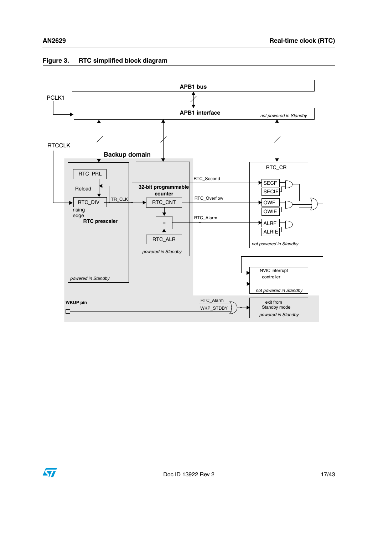![](_page_16_Figure_2.jpeg)

#### <span id="page-16-0"></span>**Figure 3. RTC simplified block diagram**

![](_page_16_Picture_4.jpeg)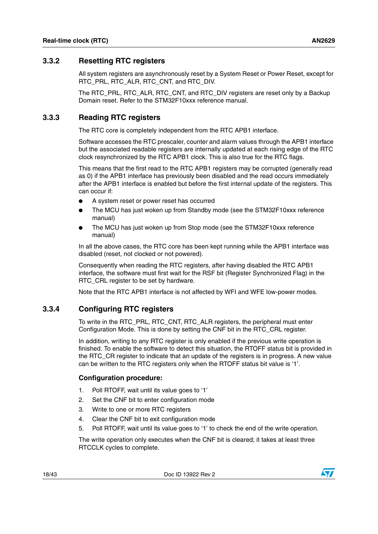#### <span id="page-17-0"></span>**3.3.2 Resetting RTC registers**

All system registers are asynchronously reset by a System Reset or Power Reset, except for RTC\_PRL, RTC\_ALR, RTC\_CNT, and RTC\_DIV.

The RTC\_PRL, RTC\_ALR, RTC\_CNT, and RTC\_DIV registers are reset only by a Backup Domain reset. Refer to the STM32F10xxx reference manual.

#### <span id="page-17-1"></span>**3.3.3 Reading RTC registers**

The RTC core is completely independent from the RTC APB1 interface.

Software accesses the RTC prescaler, counter and alarm values through the APB1 interface but the associated readable registers are internally updated at each rising edge of the RTC clock resynchronized by the RTC APB1 clock. This is also true for the RTC flags.

This means that the first read to the RTC APB1 registers may be corrupted (generally read as 0) if the APB1 interface has previously been disabled and the read occurs immediately after the APB1 interface is enabled but before the first internal update of the registers. This can occur if:

- A system reset or power reset has occurred
- The MCU has just woken up from Standby mode (see the STM32F10xxx reference manual)
- The MCU has just woken up from Stop mode (see the STM32F10xxx reference manual)

In all the above cases, the RTC core has been kept running while the APB1 interface was disabled (reset, not clocked or not powered).

Consequently when reading the RTC registers, after having disabled the RTC APB1 interface, the software must first wait for the RSF bit (Register Synchronized Flag) in the RTC\_CRL register to be set by hardware.

Note that the RTC APB1 interface is not affected by WFI and WFE low-power modes.

#### <span id="page-17-2"></span>**3.3.4 Configuring RTC registers**

To write in the RTC\_PRL, RTC\_CNT, RTC\_ALR registers, the peripheral must enter Configuration Mode. This is done by setting the CNF bit in the RTC\_CRL register.

In addition, writing to any RTC register is only enabled if the previous write operation is finished. To enable the software to detect this situation, the RTOFF status bit is provided in the RTC\_CR register to indicate that an update of the registers is in progress. A new value can be written to the RTC registers only when the RTOFF status bit value is '1'.

#### **Configuration procedure:**

- 1. Poll RTOFF, wait until its value goes to '1'
- 2. Set the CNF bit to enter configuration mode
- 3. Write to one or more RTC registers
- 4. Clear the CNF bit to exit configuration mode
- 5. Poll RTOFF, wait until its value goes to '1' to check the end of the write operation.

The write operation only executes when the CNF bit is cleared; it takes at least three RTCCLK cycles to complete.

18/43 Doc ID 13922 Rev 2

![](_page_17_Picture_26.jpeg)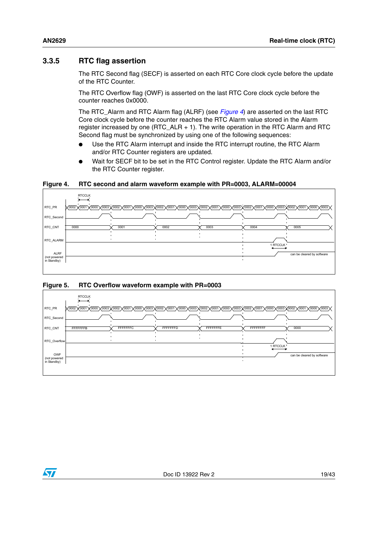### <span id="page-18-0"></span>**3.3.5 RTC flag assertion**

The RTC Second flag (SECF) is asserted on each RTC Core clock cycle before the update of the RTC Counter.

The RTC Overflow flag (OWF) is asserted on the last RTC Core clock cycle before the counter reaches 0x0000.

The RTC\_Alarm and RTC Alarm flag (ALRF) (see *[Figure 4](#page-18-1)*) are asserted on the last RTC Core clock cycle before the counter reaches the RTC Alarm value stored in the Alarm register increased by one (RTC\_ALR + 1). The write operation in the RTC Alarm and RTC Second flag must be synchronized by using one of the following sequences:

- Use the RTC Alarm interrupt and inside the RTC interrupt routine, the RTC Alarm and/or RTC Counter registers are updated.
- Wait for SECF bit to be set in the RTC Control register. Update the RTC Alarm and/or the RTC Counter register.

<span id="page-18-1"></span>**Figure 4. RTC second and alarm waveform example with PR=0003, ALARM=00004**

![](_page_18_Figure_9.jpeg)

#### <span id="page-18-2"></span>**Figure 5. RTC Overflow waveform example with PR=0003**

![](_page_18_Figure_11.jpeg)

![](_page_18_Picture_12.jpeg)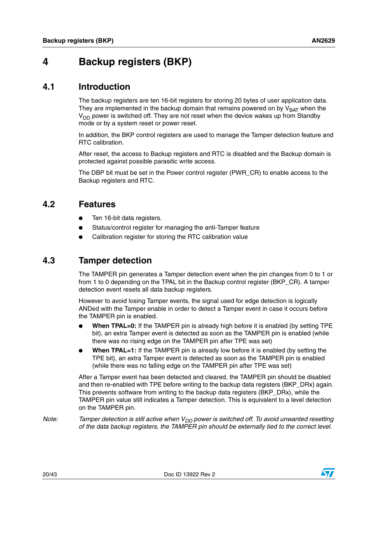## <span id="page-19-0"></span>**4 Backup registers (BKP)**

### <span id="page-19-1"></span>**4.1 Introduction**

The backup registers are ten 16-bit registers for storing 20 bytes of user application data. They are implemented in the backup domain that remains powered on by  $V_{BAT}$  when the  $V<sub>DD</sub>$  power is switched off. They are not reset when the device wakes up from Standby mode or by a system reset or power reset.

In addition, the BKP control registers are used to manage the Tamper detection feature and RTC calibration.

After reset, the access to Backup registers and RTC is disabled and the Backup domain is protected against possible parasitic write access.

The DBP bit must be set in the Power control register (PWR\_CR) to enable access to the Backup registers and RTC.

### <span id="page-19-2"></span>**4.2 Features**

- Ten 16-bit data registers.
- Status/control register for managing the anti-Tamper feature
- Calibration register for storing the RTC calibration value

## <span id="page-19-3"></span>**4.3 Tamper detection**

The TAMPER pin generates a Tamper detection event when the pin changes from 0 to 1 or from 1 to 0 depending on the TPAL bit in the Backup control register (BKP\_CR). A tamper detection event resets all data backup registers.

However to avoid losing Tamper events, the signal used for edge detection is logically ANDed with the Tamper enable in order to detect a Tamper event in case it occurs before the TAMPER pin is enabled.

- **When TPAL=0:** If the TAMPER pin is already high before it is enabled (by setting TPE bit), an extra Tamper event is detected as soon as the TAMPER pin is enabled (while there was no rising edge on the TAMPER pin after TPE was set)
- **When TPAL=1:** If the TAMPER pin is already low before it is enabled (by setting the TPE bit), an extra Tamper event is detected as soon as the TAMPER pin is enabled (while there was no falling edge on the TAMPER pin after TPE was set)

After a Tamper event has been detected and cleared, the TAMPER pin should be disabled and then re-enabled with TPE before writing to the backup data registers (BKP\_DRx) again. This prevents software from writing to the backup data registers (BKP\_DRx), while the TAMPER pin value still indicates a Tamper detection. This is equivalent to a level detection on the TAMPER pin.

*Note:* Tamper detection is still active when V<sub>DD</sub> power is switched off. To avoid unwanted resetting *of the data backup registers, the TAMPER pin should be externally tied to the correct level.*

![](_page_19_Picture_20.jpeg)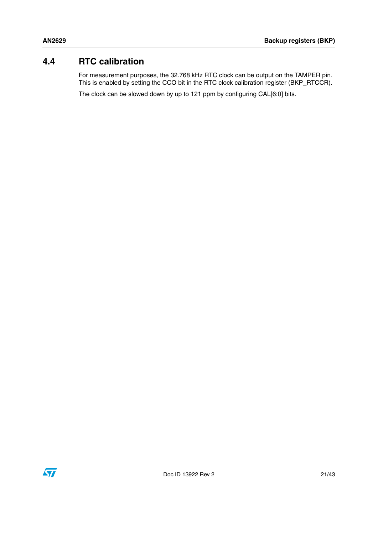## <span id="page-20-0"></span>**4.4 RTC calibration**

For measurement purposes, the 32.768 kHz RTC clock can be output on the TAMPER pin. This is enabled by setting the CCO bit in the RTC clock calibration register (BKP\_RTCCR).

The clock can be slowed down by up to 121 ppm by configuring CAL[6:0] bits.

![](_page_20_Picture_5.jpeg)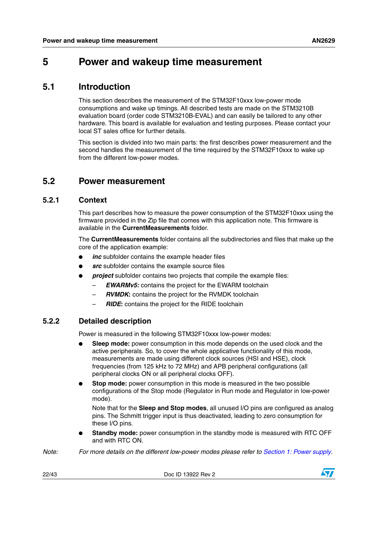## <span id="page-21-0"></span>**5 Power and wakeup time measurement**

### <span id="page-21-1"></span>**5.1 Introduction**

This section describes the measurement of the STM32F10xxx low-power mode consumptions and wake up timings. All described tests are made on the STM3210B evaluation board (order code STM3210B-EVAL) and can easily be tailored to any other hardware. This board is available for evaluation and testing purposes. Please contact your local ST sales office for further details.

This section is divided into two main parts: the first describes power measurement and the second handles the measurement of the time required by the STM32F10xxx to wake up from the different low-power modes.

### <span id="page-21-2"></span>**5.2 Power measurement**

#### <span id="page-21-3"></span>**5.2.1 Context**

This part describes how to measure the power consumption of the STM32F10xxx using the firmware provided in the Zip file that comes with this application note. This firmware is available in the **CurrentMeasurements** folder.

The **CurrentMeasurements** folder contains all the subdirectories and files that make up the core of the application example:

- inc subfolder contains the example header files
- **src** subfolder contains the example source files
- *project* subfolder contains two projects that compile the example files:
	- *EWARMv5:* contains the project for the EWARM toolchain
	- *RVMDK***:** contains the project for the RVMDK toolchain
	- *RIDE***:** contains the project for the RIDE toolchain

#### <span id="page-21-4"></span>**5.2.2 Detailed description**

Power is measured in the following STM32F10xxx low-power modes:

- **Sleep mode:** power consumption in this mode depends on the used clock and the active peripherals. So, to cover the whole applicative functionality of this mode, measurements are made using different clock sources (HSI and HSE), clock frequencies (from 125 kHz to 72 MHz) and APB peripheral configurations (all peripheral clocks ON or all peripheral clocks OFF).
- **Stop mode:** power consumption in this mode is measured in the two possible configurations of the Stop mode (Regulator in Run mode and Regulator in low-power mode).

Note that for the **Sleep and Stop modes**, all unused I/O pins are configured as analog pins. The Schmitt trigger input is thus deactivated, leading to zero consumption for these I/O pins.

**Standby mode:** power consumption in the standby mode is measured with RTC OFF and with RTC ON.

*Note: For more details on the different low-power modes please refer to [Section 1: Power supply](#page-6-0).*

22/43 Doc ID 13922 Rev 2

![](_page_21_Picture_24.jpeg)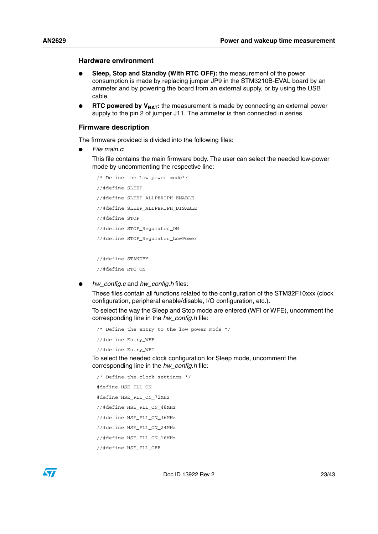#### **Hardware environment**

- Sleep, Stop and Standby (With RTC OFF): the measurement of the power consumption is made by replacing jumper JP9 in the STM3210B-EVAL board by an ammeter and by powering the board from an external supply, or by using the USB cable.
- **RTC powered by V<sub>BAT</sub>:** the measurement is made by connecting an external power supply to the pin 2 of jumper J11. The ammeter is then connected in series.

#### **Firmware description**

The firmware provided is divided into the following files:

● *File main.c*:

This file contains the main firmware body. The user can select the needed low-power mode by uncommenting the respective line:

```
/* Define the Low power mode*/
//#define SLEEP
//#define SLEEP_ALLPERIPH_ENABLE
//#define SLEEP_ALLPERIPH_DISABLE
//#define STOP
//#define STOP_Regulator_ON
//#define STOP_Regulator_LowPower
```
//#define STANDBY

```
//#define RTC_ON
```
● *hw\_config.c* and *hw\_config.h* files:

These files contain all functions related to the configuration of the STM32F10xxx (clock configuration, peripheral enable/disable, I/O configuration, etc.).

To select the way the Sleep and Stop mode are entered (WFI or WFE), uncomment the corresponding line in the *hw\_config.h* file:

```
/* Define the entry to the low power mode */
//#define Entry_WFE
```

```
//#define Entry_WFI
```
To select the needed clock configuration for Sleep mode, uncomment the corresponding line in the *hw\_config.h* file:

```
/* Define the clock settings */
#define HSE_PLL_ON
#define HSE_PLL_ON_72MHz
//#define HSE_PLL_ON_48MHz
//#define HSE_PLL_ON_36MHz
//#define HSE_PLL_ON_24MHz
//#define HSE_PLL_ON_16MHz
//#define HSE_PLL_OFF
```
![](_page_22_Picture_19.jpeg)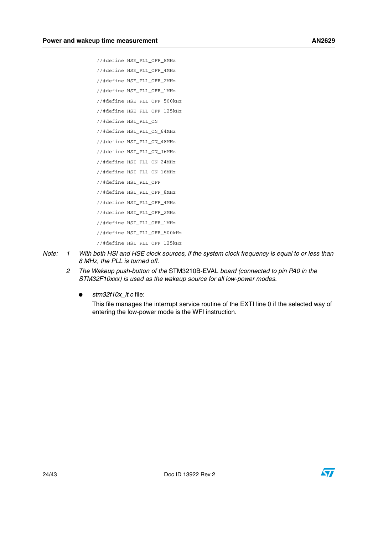- //#define HSE\_PLL\_OFF\_8MHz
- //#define HSE\_PLL\_OFF\_4MHz
- //#define HSE\_PLL\_OFF\_2MHz
- //#define HSE\_PLL\_OFF\_1MHz
- //#define HSE\_PLL\_OFF\_500kHz
- //#define HSE\_PLL\_OFF\_125kHz
- //#define HSI\_PLL\_ON
- //#define HSI\_PLL\_ON\_64MHz
- //#define HSI\_PLL\_ON\_48MHz
- //#define HSI\_PLL\_ON\_36MHz
- //#define HSI\_PLL\_ON\_24MHz //#define HSI\_PLL\_ON\_16MHz
- 
- //#define HSI\_PLL\_OFF
- //#define HSI\_PLL\_OFF\_8MHz
- //#define HSI\_PLL\_OFF\_4MHz
- //#define HSI\_PLL\_OFF\_2MHz
- //#define HSI\_PLL\_OFF\_1MHz
- //#define HSI\_PLL\_OFF\_500kHz
- //#define HSI\_PLL\_OFF\_125kHz
- *Note: 1 With both HSI and HSE clock sources, if the system clock frequency is equal to or less than 8 MHz, the PLL is turned off.*
	- *2 The Wakeup push-button of the* STM3210B-EVAL *board (connected to pin PA0 in the STM32F10xxx) is used as the wakeup source for all low-power modes.*
		- *stm32f10x\_it.c* file:

This file manages the interrupt service routine of the EXTI line 0 if the selected way of entering the low-power mode is the WFI instruction.

![](_page_23_Picture_27.jpeg)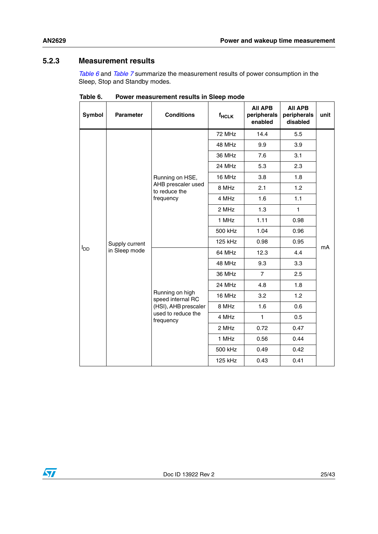#### <span id="page-24-0"></span>**5.2.3 Measurement results**

*[Table 6](#page-24-1)* and *[Table 7](#page-25-2)* summarize the measurement results of power consumption in the Sleep, Stop and Standby modes.

| Symbol          | <b>Parameter</b>                | <b>Conditions</b>                                                                               | $f_{HCLK}$ | <b>AII APB</b><br>peripherals<br>enabled | <b>AII APB</b><br>peripherals<br>disabled | unit |
|-----------------|---------------------------------|-------------------------------------------------------------------------------------------------|------------|------------------------------------------|-------------------------------------------|------|
|                 |                                 |                                                                                                 | 72 MHz     | 14.4                                     | 5.5                                       |      |
|                 |                                 |                                                                                                 | 48 MHz     | 9.9                                      | 3.9                                       |      |
|                 |                                 |                                                                                                 | 36 MHz     | 7.6                                      | 3.1                                       |      |
|                 |                                 |                                                                                                 | 24 MHz     | 5.3                                      | 2.3                                       |      |
|                 |                                 | Running on HSE,                                                                                 | 16 MHz     | 3.8                                      | 1.8                                       |      |
|                 |                                 | AHB prescaler used<br>to reduce the                                                             | 8 MHz      | 2.1                                      | 1.2                                       |      |
|                 |                                 | frequency                                                                                       | 4 MHz      | 1.6                                      | 1.1                                       |      |
|                 | Supply current<br>in Sleep mode |                                                                                                 | 2 MHz      | 1.3                                      | $\mathbf{1}$                              | mA   |
|                 |                                 |                                                                                                 | 1 MHz      | 1.11                                     | 0.98                                      |      |
|                 |                                 |                                                                                                 | 500 kHz    | 1.04                                     | 0.96                                      |      |
|                 |                                 |                                                                                                 | 125 kHz    | 0.98                                     | 0.95                                      |      |
| l <sub>DD</sub> |                                 | Running on high<br>speed internal RC<br>(HSI), AHB prescaler<br>used to reduce the<br>frequency | 64 MHz     | 12.3                                     | 4.4                                       |      |
|                 |                                 |                                                                                                 | 48 MHz     | 9.3                                      | 3.3                                       |      |
|                 |                                 |                                                                                                 | 36 MHz     | $\overline{7}$                           | 2.5                                       |      |
|                 |                                 |                                                                                                 | 24 MHz     | 4.8                                      | 1.8                                       |      |
|                 |                                 |                                                                                                 | 16 MHz     | 3.2                                      | 1.2                                       |      |
|                 |                                 |                                                                                                 | 8 MHz      | 1.6                                      | 0.6                                       |      |
|                 |                                 |                                                                                                 | 4 MHz      | $\mathbf{1}$                             | 0.5                                       |      |
|                 |                                 |                                                                                                 | 2 MHz      | 0.72                                     | 0.47                                      |      |
|                 |                                 |                                                                                                 | 1 MHz      | 0.56                                     | 0.44                                      |      |
|                 |                                 |                                                                                                 | 500 kHz    | 0.49                                     | 0.42                                      |      |
|                 |                                 |                                                                                                 | 125 kHz    | 0.43                                     | 0.41                                      |      |

<span id="page-24-1"></span>**Table 6. Power measurement results in Sleep mode**

![](_page_24_Picture_6.jpeg)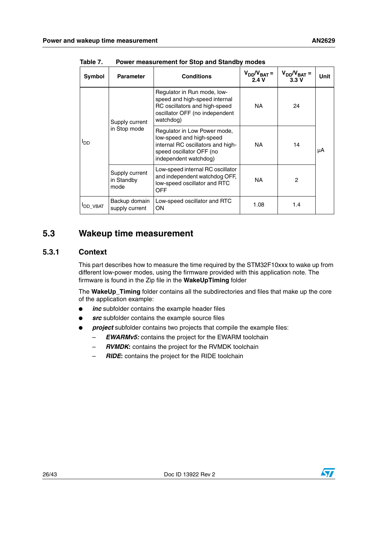| Symbol           | <b>Parameter</b>                     | <b>Conditions</b>                                                                                                                                  | $V_{DD}/V_{BAT}$ =<br>2.4V | $V_{DD}/V_{BAT}$ =<br>3.3V | <b>Unit</b> |
|------------------|--------------------------------------|----------------------------------------------------------------------------------------------------------------------------------------------------|----------------------------|----------------------------|-------------|
| $I_{DD}$         | Supply current<br>in Stop mode       | Regulator in Run mode, low-<br>speed and high-speed internal<br>RC oscillators and high-speed<br>oscillator OFF (no independent<br>watchdog)       | NA.                        | 24                         |             |
|                  |                                      | Regulator in Low Power mode,<br>low-speed and high-speed<br>internal RC oscillators and high-<br>speed oscillator OFF (no<br>independent watchdog) | NA.                        | 14                         | μA          |
|                  | Supply current<br>in Standby<br>mode | Low-speed internal RC oscillator<br>and independent watchdog OFF,<br>low-speed oscillator and RTC<br>OFF                                           | NA.                        | $\overline{c}$             |             |
| <b>I</b> DD_VBAT | Backup domain<br>supply current      | Low-speed oscillator and RTC<br>OΝ                                                                                                                 | 1.08                       | 1.4                        |             |

<span id="page-25-2"></span>Table 7. **Power measurement for Stop and Standby modes** 

### <span id="page-25-0"></span>**5.3 Wakeup time measurement**

#### <span id="page-25-1"></span>**5.3.1 Context**

This part describes how to measure the time required by the STM32F10xxx to wake up from different low-power modes, using the firmware provided with this application note. The firmware is found in the Zip file in the **WakeUpTiming** folder

The **WakeUp\_Timing** folder contains all the subdirectories and files that make up the core of the application example:

- *inc* subfolder contains the example header files
- **src** subfolder contains the example source files
- project subfolder contains two projects that compile the example files:
	- *EWARMv5:* contains the project for the EWARM toolchain
	- *RVMDK***:** contains the project for the RVMDK toolchain
	- *RIDE***:** contains the project for the RIDE toolchain

![](_page_25_Picture_14.jpeg)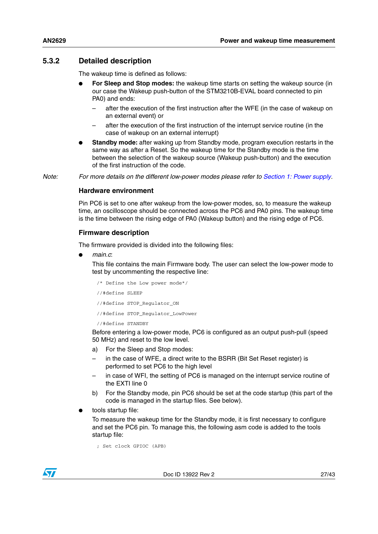#### <span id="page-26-0"></span>**5.3.2 Detailed description**

The wakeup time is defined as follows:

- **For Sleep and Stop modes:** the wakeup time starts on setting the wakeup source (in our case the Wakeup push-button of the STM3210B-EVAL board connected to pin PA0) and ends:
	- after the execution of the first instruction after the WFE (in the case of wakeup on an external event) or
	- after the execution of the first instruction of the interrupt service routine (in the case of wakeup on an external interrupt)
- **Standby mode:** after waking up from Standby mode, program execution restarts in the same way as after a Reset. So the wakeup time for the Standby mode is the time between the selection of the wakeup source (Wakeup push-button) and the execution of the first instruction of the code.

*Note: For more details on the different low-power modes please refer to [Section 1: Power supply](#page-6-0).*

#### **Hardware environment**

Pin PC6 is set to one after wakeup from the low-power modes, so, to measure the wakeup time, an oscilloscope should be connected across the PC6 and PA0 pins. The wakeup time is the time between the rising edge of PA0 (Wakeup button) and the rising edge of PC6.

#### **Firmware description**

The firmware provided is divided into the following files:

● *main.c*:

This file contains the main Firmware body. The user can select the low-power mode to test by uncommenting the respective line:

```
/* Define the Low power mode*/
//#define SLEEP
//#define STOP_Regulator_ON
//#define STOP_Regulator_LowPower
//#define STANDBY
```
Before entering a low-power mode, PC6 is configured as an output push-pull (speed 50 MHz) and reset to the low level.

- a) For the Sleep and Stop modes:
- in the case of WFE, a direct write to the BSRR (Bit Set Reset register) is performed to set PC6 to the high level
- in case of WFI, the setting of PC6 is managed on the interrupt service routine of the EXTI line 0
- b) For the Standby mode, pin PC6 should be set at the code startup (this part of the code is managed in the startup files. See below).
- tools startup file:

To measure the wakeup time for the Standby mode, it is first necessary to configure and set the PC6 pin. To manage this, the following asm code is added to the tools startup file:

```
; Set clock GPIOC (APB)
```
![](_page_26_Picture_24.jpeg)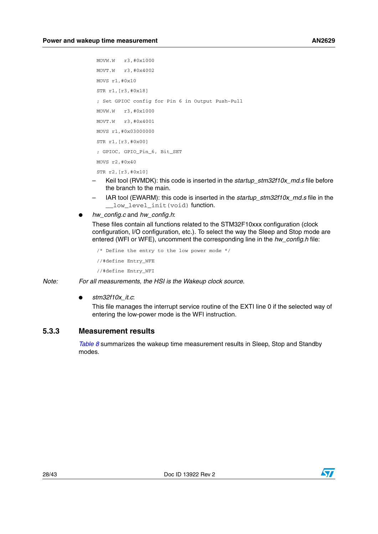```
MOVW.W r3,#0x1000
MOVT.W r3,#0x4002
MOVS r1,#0x10
STR r1,[r3,#0x18]
; Set GPIOC config for Pin 6 in Output Push-Pull
MOVW.W r3,#0x1000
MOVT.W r3,#0x4001
MOVS r1,#0x03000000
STR r1,[r3,#0x00]
; GPIOC, GPIO_Pin_6, Bit_SET
MOVS r2,#0x40
STR r2,[r3,#0x10]
```
- Keil tool (RVMDK): this code is inserted in the *startup\_stm32f10x\_md.s* file before the branch to the main.
- IAR tool (EWARM): this code is inserted in the *startup\_stm32f10x\_md.s* file in the \_\_low\_level\_init(void) function.
- *hw\_config.c* and *hw\_config.h*:

These files contain all functions related to the STM32F10xxx configuration (clock configuration, I/O configuration, etc.). To select the way the Sleep and Stop mode are entered (WFI or WFE), uncomment the corresponding line in the *hw\_config.h* file:

```
/* Define the entry to the low power mode */
//#define Entry_WFE
//#define Entry_WFI
```
*Note: For all measurements, the HSI is the Wakeup clock source.*

● *stm32f10x\_it.c*:

This file manages the interrupt service routine of the EXTI line 0 if the selected way of entering the low-power mode is the WFI instruction.

#### <span id="page-27-0"></span>**5.3.3 Measurement results**

*[Table 8](#page-28-1)* summarizes the wakeup time measurement results in Sleep, Stop and Standby modes.

![](_page_27_Picture_13.jpeg)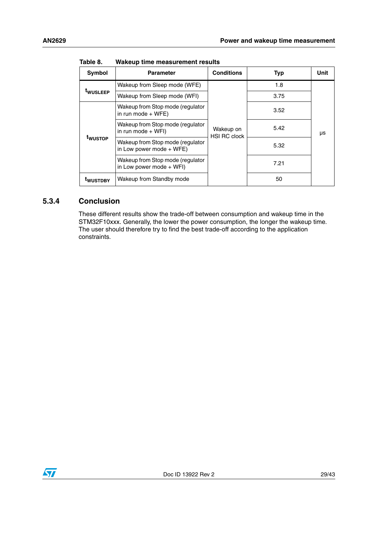| <b>Symbol</b>        | <b>Parameter</b>                                                                             | <b>Conditions</b> | <b>Typ</b> | Unit |  |
|----------------------|----------------------------------------------------------------------------------------------|-------------------|------------|------|--|
| <sup>t</sup> wusleep | Wakeup from Sleep mode (WFE)                                                                 |                   | 1.8        |      |  |
|                      | Wakeup from Sleep mode (WFI)                                                                 |                   | 3.75       |      |  |
| <sup>t</sup> wustop  | Wakeup from Stop mode (regulator<br>in run mode $+$ WFE)                                     |                   | 3.52       |      |  |
|                      | Wakeup from Stop mode (regulator<br>Wakeup on<br>in run mode $+$ WFI)<br><b>HSI RC clock</b> |                   | 5.42       | μs   |  |
|                      | Wakeup from Stop mode (regulator<br>in Low power mode $+$ WFE)                               |                   | 5.32       |      |  |
|                      | Wakeup from Stop mode (regulator<br>in Low power mode + WFI)                                 |                   | 7.21       |      |  |
| <sup>t</sup> wustdby | Wakeup from Standby mode                                                                     |                   | 50         |      |  |

<span id="page-28-1"></span>Table 8. **Wakeup time measurement results** 

#### <span id="page-28-0"></span>**5.3.4 Conclusion**

These different results show the trade-off between consumption and wakeup time in the STM32F10xxx. Generally, the lower the power consumption, the longer the wakeup time. The user should therefore try to find the best trade-off according to the application constraints.

![](_page_28_Picture_6.jpeg)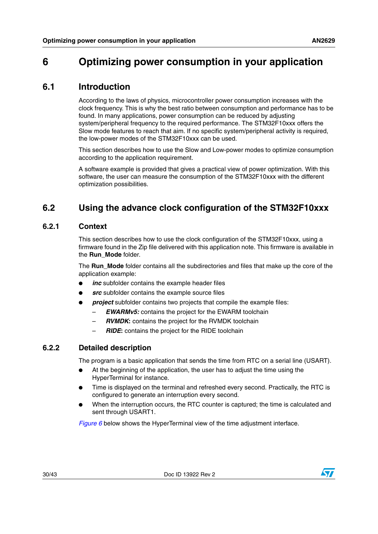## <span id="page-29-0"></span>**6 Optimizing power consumption in your application**

## <span id="page-29-1"></span>**6.1 Introduction**

According to the laws of physics, microcontroller power consumption increases with the clock frequency. This is why the best ratio between consumption and performance has to be found. In many applications, power consumption can be reduced by adjusting system/peripheral frequency to the required performance. The STM32F10xxx offers the Slow mode features to reach that aim. If no specific system/peripheral activity is required, the low-power modes of the STM32F10xxx can be used.

This section describes how to use the Slow and Low-power modes to optimize consumption according to the application requirement.

A software example is provided that gives a practical view of power optimization. With this software, the user can measure the consumption of the STM32F10xxx with the different optimization possibilities.

## <span id="page-29-2"></span>**6.2 Using the advance clock configuration of the STM32F10xxx**

#### <span id="page-29-3"></span>**6.2.1 Context**

This section describes how to use the clock configuration of the STM32F10xxx, using a firmware found in the Zip file delivered with this application note. This firmware is available in the **Run\_Mode** folder.

The **Run\_Mode** folder contains all the subdirectories and files that make up the core of the application example:

- *inc* subfolder contains the example header files
- **src** subfolder contains the example source files
- *project* subfolder contains two projects that compile the example files:
	- **EWARMv5:** contains the project for the EWARM toolchain
	- *RVMDK***:** contains the project for the RVMDK toolchain
	- *RIDE***:** contains the project for the RIDE toolchain

#### <span id="page-29-4"></span>**6.2.2 Detailed description**

The program is a basic application that sends the time from RTC on a serial line (USART).

- At the beginning of the application, the user has to adjust the time using the HyperTerminal for instance.
- Time is displayed on the terminal and refreshed every second. Practically, the RTC is configured to generate an interruption every second.
- When the interruption occurs, the RTC counter is captured; the time is calculated and sent through USART1.

*[Figure 6](#page-30-0)* below shows the HyperTerminal view of the time adjustment interface.

![](_page_29_Picture_24.jpeg)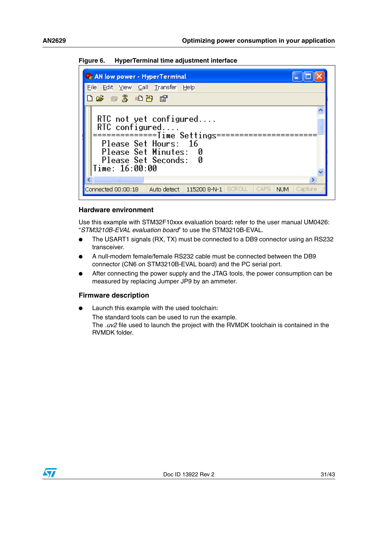<span id="page-30-0"></span>![](_page_30_Picture_2.jpeg)

**Figure 6. HyperTerminal time adjustment interface**

#### **Hardware environment**

Use this example with STM32F10xxx evaluation board**:** refer to the user manual UM0426: "*STM3210B-EVAL evaluation board*" to use the STM3210B-EVAL.

- The USART1 signals (RX, TX) must be connected to a DB9 connector using an RS232 transceiver.
- A null-modem female/female RS232 cable must be connected between the DB9 connector (CN6 on STM3210B-EVAL board) and the PC serial port.
- After connecting the power supply and the JTAG tools, the power consumption can be measured by replacing Jumper JP9 by an ammeter.

#### **Firmware description**

Launch this example with the used toolchain:

The standard tools can be used to run the example. The *.uv2* file used to launch the project with the RVMDK toolchain is contained in the RVMDK folder.

![](_page_30_Picture_12.jpeg)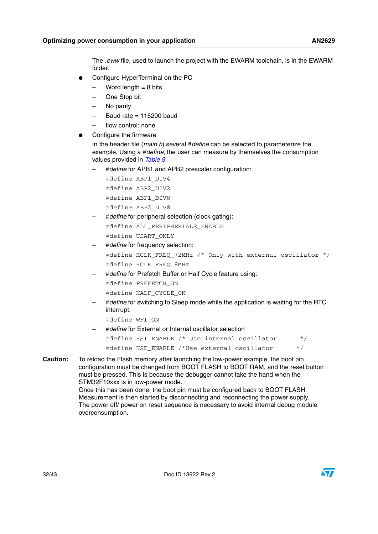The *.eww* file, used to launch the project with the EWARM toolchain, is in the EWARM folder.

- Configure HyperTerminal on the PC
	- $-$  Word length  $= 8$  bits
	- One Stop bit
	- No parity
	- Baud rate  $= 115200$  baud
	- flow control: none
- Configure the firmware

In the header file (*main.h*) several #*define* can be selected to parameterize the example. Using a #*define*, the user can measure by themselves the consumption values provided in *[Table 9](#page-32-2)*.

– #*define* for APB1 and APB2 prescaler configuration:

#define ABP1\_DIV4 #define ABP2\_DIV2 #define ABP1\_DIV8 #define ABP2\_DIV8

– #*define* for peripheral selection (clock gating):

#define ALL\_PERIPHERIALS\_ENABLE #define USART\_ONLY

- #*define* for frequency selection:
	- #define HCLK FREO 72MHz /\* Only with external oscillator \*/ #define HCLK\_FREQ\_8MHz
- #*define* for Prefetch Buffer or Half Cycle feature using:
	- #define PREFETCH\_ON
	- #define HALF\_CYCLE\_ON
- #*define* for switching to Sleep mode while the application is waiting for the RTC interrupt:
	- #define WFI\_ON
- #*define* for External or Internal oscillator selection

#define HSI ENABLE /\* Use internal oscillator \*/ #define HSE\_ENABLE /\*Use external oscillator \*/

**Caution:** To reload the Flash memory after launching the low-power example, the boot pin configuration must be changed from BOOT FLASH to BOOT RAM, and the reset button must be pressed. This is because the debugger cannot take the hand when the STM32F10xxx is in low-power mode.

Once this has been done, the boot pin must be configured back to BOOT FLASH. Measurement is then started by disconnecting and reconnecting the power supply. The power off/ power on reset sequence is necessary to avoid internal debug module overconsumption.

![](_page_31_Picture_27.jpeg)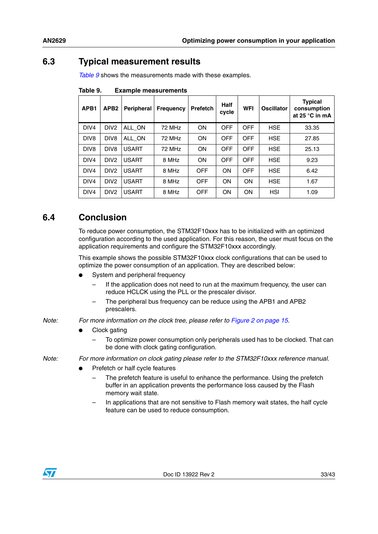## <span id="page-32-0"></span>**6.3 Typical measurement results**

*[Table 9](#page-32-2)* shows the measurements made with these examples.

| APB1             | APB <sub>2</sub> | <b>Peripheral</b> | <b>Frequency</b> | <b>Prefetch</b> | Half<br>cycle | <b>WFI</b> | <b>Oscillator</b> | <b>Typical</b><br>consumption<br>at 25 °C in mA |
|------------------|------------------|-------------------|------------------|-----------------|---------------|------------|-------------------|-------------------------------------------------|
| DIV4             | DIV <sub>2</sub> | ALL ON            | 72 MHz           | ON              | <b>OFF</b>    | <b>OFF</b> | <b>HSE</b>        | 33.35                                           |
| DIV <sub>8</sub> | DIV <sub>8</sub> | ALL ON            | 72 MHz           | ON              | OFF           | <b>OFF</b> | <b>HSE</b>        | 27.85                                           |
| DIV <sub>8</sub> | DIV <sub>8</sub> | <b>USART</b>      | 72 MHz           | ON              | <b>OFF</b>    | <b>OFF</b> | <b>HSE</b>        | 25.13                                           |
| DIV4             | DIV <sub>2</sub> | <b>USART</b>      | 8 MHz            | ON              | <b>OFF</b>    | <b>OFF</b> | <b>HSE</b>        | 9.23                                            |
| DIV4             | DIV <sub>2</sub> | <b>USART</b>      | 8 MHz            | <b>OFF</b>      | <b>ON</b>     | <b>OFF</b> | <b>HSE</b>        | 6.42                                            |
| DIV4             | DIV <sub>2</sub> | <b>USART</b>      | 8 MHz            | <b>OFF</b>      | <b>ON</b>     | <b>ON</b>  | <b>HSE</b>        | 1.67                                            |
| DIV <sub>4</sub> | DIV <sub>2</sub> | <b>USART</b>      | 8 MHz            | <b>OFF</b>      | <b>ON</b>     | <b>ON</b>  | <b>HSI</b>        | 1.09                                            |

<span id="page-32-2"></span>Table 9. **Example measurements** 

## <span id="page-32-1"></span>**6.4 Conclusion**

To reduce power consumption, the STM32F10xxx has to be initialized with an optimized configuration according to the used application. For this reason, the user must focus on the application requirements and configure the STM32F10xxx accordingly.

This example shows the possible STM32F10xxx clock configurations that can be used to optimize the power consumption of an application. They are described below:

- System and peripheral frequency
	- If the application does not need to run at the maximum frequency, the user can reduce HCLCK using the PLL or the prescaler divisor.
	- The peripheral bus frequency can be reduce using the APB1 and APB2 prescalers.
- *Note: For more information on the clock tree, please refer to [Figure 2 on page 15.](#page-14-0)*
	- Clock gating
		- To optimize power consumption only peripherals used has to be clocked. That can be done with clock gating configuration.

*Note: For more information on clock gating please refer to the STM32F10xxx reference manual.*

- Prefetch or half cycle features
	- The prefetch feature is useful to enhance the performance. Using the prefetch buffer in an application prevents the performance loss caused by the Flash memory wait state.
	- In applications that are not sensitive to Flash memory wait states, the half cycle feature can be used to reduce consumption.

![](_page_32_Picture_19.jpeg)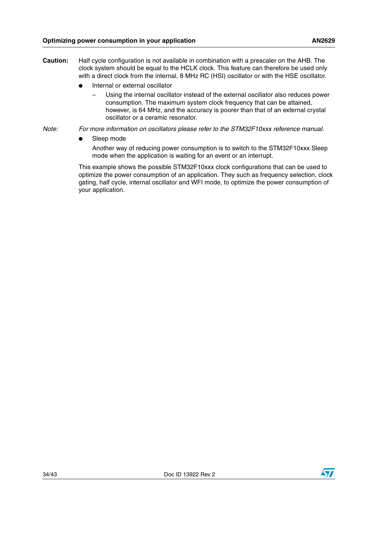- **Caution:** Half cycle configuration is not available in combination with a prescaler on the AHB. The clock system should be equal to the HCLK clock. This feature can therefore be used only with a direct clock from the internal, 8 MHz RC (HSI) oscillator or with the HSE oscillator.
	- Internal or external oscillator
		- Using the internal oscillator instead of the external oscillator also reduces power consumption. The maximum system clock frequency that can be attained, however, is 64 MHz, and the accuracy is poorer than that of an external crystal oscillator or a ceramic resonator.
- *Note: For more information on oscillators please refer to the STM32F10xxx reference manual.*
	- Sleep mode

Another way of reducing power consumption is to switch to the STM32F10xxx Sleep mode when the application is waiting for an event or an interrupt.

This example shows the possible STM32F10xxx clock configurations that can be used to optimize the power consumption of an application. They such as frequency selection, clock gating, half cycle, internal oscillator and WFI mode, to optimize the power consumption of your application.

![](_page_33_Picture_10.jpeg)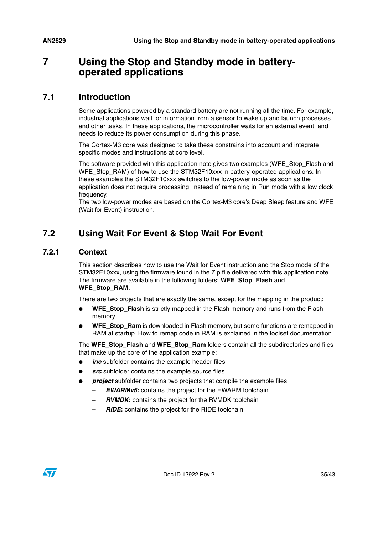## <span id="page-34-0"></span>**7 Using the Stop and Standby mode in batteryoperated applications**

## <span id="page-34-1"></span>**7.1 Introduction**

Some applications powered by a standard battery are not running all the time. For example, industrial applications wait for information from a sensor to wake up and launch processes and other tasks. In these applications, the microcontroller waits for an external event, and needs to reduce its power consumption during this phase.

The Cortex-M3 core was designed to take these constrains into account and integrate specific modes and instructions at core level.

The software provided with this application note gives two examples (WFE\_Stop\_Flash and WFE\_Stop\_RAM) of how to use the STM32F10xxx in battery-operated applications. In these examples the STM32F10xxx switches to the low-power mode as soon as the application does not require processing, instead of remaining in Run mode with a low clock frequency.

The two low-power modes are based on the Cortex-M3 core's Deep Sleep feature and WFE (Wait for Event) instruction.

## <span id="page-34-2"></span>**7.2 Using Wait For Event & Stop Wait For Event**

#### <span id="page-34-3"></span>**7.2.1 Context**

This section describes how to use the Wait for Event instruction and the Stop mode of the STM32F10xxx, using the firmware found in the Zip file delivered with this application note. The firmware are available in the following folders: **WFE\_Stop\_Flash** and **WFE\_Stop\_RAM**.

There are two projects that are exactly the same, except for the mapping in the product:

- WFE\_Stop\_Flash is strictly mapped in the Flash memory and runs from the Flash memory
- **WFE** Stop Ram is downloaded in Flash memory, but some functions are remapped in RAM at startup. How to remap code in RAM is explained in the toolset documentation.

The **WFE\_Stop\_Flash** and **WFE\_Stop\_Ram** folders contain all the subdirectories and files that make up the core of the application example:

- inc subfolder contains the example header files
- **src** subfolder contains the example source files
- *project* subfolder contains two projects that compile the example files:
	- **EWARMv5:** contains the project for the EWARM toolchain
	- *RVMDK***:** contains the project for the RVMDK toolchain
	- *RIDE***:** contains the project for the RIDE toolchain

![](_page_34_Picture_21.jpeg)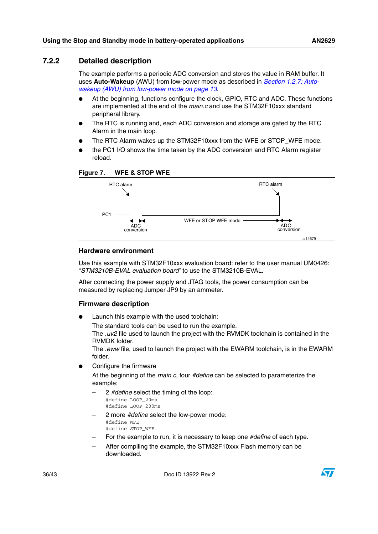#### <span id="page-35-0"></span>**7.2.2 Detailed description**

The example performs a periodic ADC conversion and stores the value in RAM buffer. It uses **Auto-Wakeup** (AWU) from low-power mode as described in *[Section 1.2.7: Auto](#page-12-1)[wakeup \(AWU\) from low-power mode on page 13](#page-12-1)*.

- At the beginning, functions configure the clock, GPIO, RTC and ADC. These functions are implemented at the end of the *main.c* and use the STM32F10xxx standard peripheral library.
- The RTC is running and, each ADC conversion and storage are gated by the RTC Alarm in the main loop.
- The RTC Alarm wakes up the STM32F10xxx from the WFE or STOP\_WFE mode.
- the PC1 I/O shows the time taken by the ADC conversion and RTC Alarm register reload.

![](_page_35_Figure_7.jpeg)

#### <span id="page-35-1"></span>**Figure 7. WFE & STOP WFE**

#### **Hardware environment**

Use this example with STM32F10xxx evaluation board: refer to the user manual UM0426: "*STM3210B-EVAL evaluation board*" to use the STM3210B-EVAL.

After connecting the power supply and JTAG tools, the power consumption can be measured by replacing Jumper JP9 by an ammeter.

#### **Firmware description**

Launch this example with the used toolchain:

The standard tools can be used to run the example.

The *.uv2* file used to launch the project with the RVMDK toolchain is contained in the RVMDK folder.

The *.eww* file, used to launch the project with the EWARM toolchain, is in the EWARM folder.

Configure the firmware

At the beginning of the *main.c*, four *#define* can be selected to parameterize the example:

- 2 *#define* select the timing of the loop: #define LOOP\_20ms #define LOOP\_200ms
- 2 more *#define* select the low-power mode: #define WFE

#define STOP\_WFE

- For the example to run, it is necessary to keep one *#define* of each type.
- After compiling the example, the STM32F10xxx Flash memory can be downloaded.

![](_page_35_Picture_25.jpeg)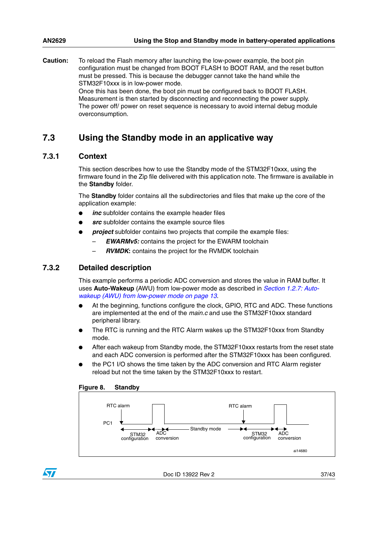**Caution:** To reload the Flash memory after launching the low-power example, the boot pin configuration must be changed from BOOT FLASH to BOOT RAM, and the reset button must be pressed. This is because the debugger cannot take the hand while the STM32F10xxx is in low-power mode. Once this has been done, the boot pin must be configured back to BOOT FLASH. Measurement is then started by disconnecting and reconnecting the power supply. The power off/ power on reset sequence is necessary to avoid internal debug module overconsumption.

## <span id="page-36-0"></span>**7.3 Using the Standby mode in an applicative way**

#### <span id="page-36-1"></span>**7.3.1 Context**

This section describes how to use the Standby mode of the STM32F10xxx, using the firmware found in the Zip file delivered with this application note. The firmware is available in the **Standby** folder.

The **Standby** folder contains all the subdirectories and files that make up the core of the application example:

- *inc* subfolder contains the example header files
- *src* subfolder contains the example source files
	- **project** subfolder contains two projects that compile the example files:
		- **EWARMv5:** contains the project for the EWARM toolchain
		- *RVMDK***:** contains the project for the RVMDK toolchain

#### <span id="page-36-2"></span>**7.3.2 Detailed description**

This example performs a periodic ADC conversion and stores the value in RAM buffer. It uses **Auto-Wakeup** (AWU) from low-power mode as described in *[Section 1.2.7: Auto](#page-12-1)[wakeup \(AWU\) from low-power mode on page 13](#page-12-1)*.

- At the beginning, functions configure the clock, GPIO, RTC and ADC. These functions are implemented at the end of the *main.c* and use the STM32F10xxx standard peripheral library.
- The RTC is running and the RTC Alarm wakes up the STM32F10xxx from Standby mode.
- After each wakeup from Standby mode, the STM32F10xxx restarts from the reset state and each ADC conversion is performed after the STM32F10xxx has been configured.
- the PC1 I/O shows the time taken by the ADC conversion and RTC Alarm register reload but not the time taken by the STM32F10xxx to restart.

<span id="page-36-3"></span>![](_page_36_Figure_17.jpeg)

![](_page_36_Figure_18.jpeg)

![](_page_36_Picture_19.jpeg)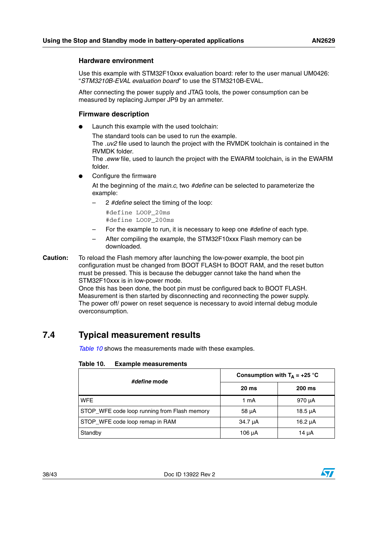#### **Hardware environment**

Use this example with STM32F10xxx evaluation board: refer to the user manual UM0426: "*STM3210B-EVAL evaluation board*" to use the STM3210B-EVAL.

After connecting the power supply and JTAG tools, the power consumption can be measured by replacing Jumper JP9 by an ammeter.

#### **Firmware description**

Launch this example with the used toolchain:

The standard tools can be used to run the example.

The *.uv2* file used to launch the project with the RVMDK toolchain is contained in the RVMDK folder.

The *.eww* file, used to launch the project with the EWARM toolchain, is in the EWARM folder.

Configure the firmware

At the beginning of the *main.c*, two *#define* can be selected to parameterize the example:

– 2 *#define* select the timing of the loop:

```
#define LOOP_20ms
#define LOOP_200ms
```
- For the example to run, it is necessary to keep one *#define* of each type.
- After compiling the example, the STM32F10xxx Flash memory can be downloaded.
- **Caution:** To reload the Flash memory after launching the low-power example, the boot pin configuration must be changed from BOOT FLASH to BOOT RAM, and the reset button must be pressed. This is because the debugger cannot take the hand when the STM32F10xxx is in low-power mode.

Once this has been done, the boot pin must be configured back to BOOT FLASH. Measurement is then started by disconnecting and reconnecting the power supply. The power off/ power on reset sequence is necessary to avoid internal debug module overconsumption.

## <span id="page-37-0"></span>**7.4 Typical measurement results**

*[Table 10](#page-37-1)* shows the measurements made with these examples.

| #define mode                                 | Consumption with $T_A = +25$ °C |               |  |
|----------------------------------------------|---------------------------------|---------------|--|
|                                              | 20 <sub>ms</sub>                | <b>200 ms</b> |  |
| <b>WFE</b>                                   | 1 mA                            | 970 µA        |  |
| STOP_WFE code loop running from Flash memory | $58 \mu A$                      | $18.5 \mu A$  |  |
| STOP_WFE code loop remap in RAM              | 34.7 µA                         | 16.2 $\mu$ A  |  |
| Standby                                      | $106 \mu A$                     | 14 µA         |  |

#### <span id="page-37-1"></span>Table 10. **Example measurements**

![](_page_37_Picture_23.jpeg)

![](_page_37_Picture_24.jpeg)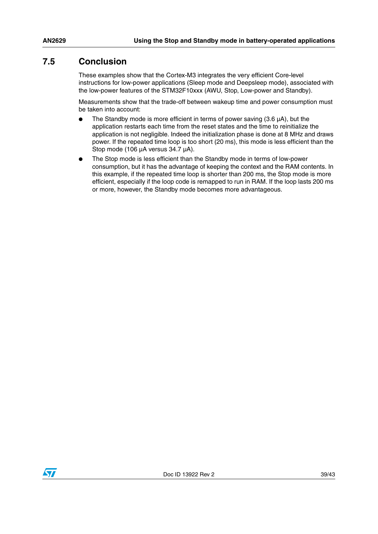## <span id="page-38-0"></span>**7.5 Conclusion**

These examples show that the Cortex-M3 integrates the very efficient Core-level instructions for low-power applications (Sleep mode and Deepsleep mode), associated with the low-power features of the STM32F10xxx (AWU, Stop, Low-power and Standby).

Measurements show that the trade-off between wakeup time and power consumption must be taken into account:

- The Standby mode is more efficient in terms of power saving  $(3.6 \mu A)$ , but the application restarts each time from the reset states and the time to reinitialize the application is not negligible. Indeed the initialization phase is done at 8 MHz and draws power. If the repeated time loop is too short (20 ms), this mode is less efficient than the Stop mode (106 µA versus 34.7 µA).
- The Stop mode is less efficient than the Standby mode in terms of low-power consumption, but it has the advantage of keeping the context and the RAM contents. In this example, if the repeated time loop is shorter than 200 ms, the Stop mode is more efficient, especially if the loop code is remapped to run in RAM. If the loop lasts 200 ms or more, however, the Standby mode becomes more advantageous.

![](_page_38_Picture_7.jpeg)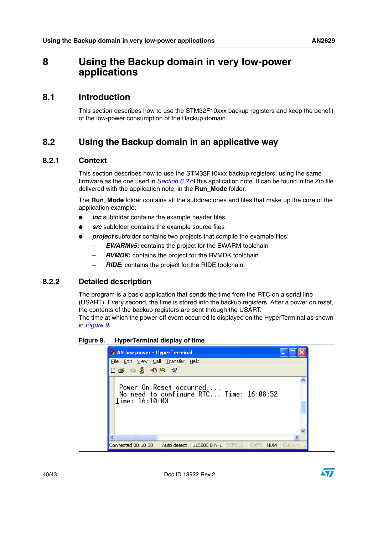## <span id="page-39-0"></span>**8 Using the Backup domain in very low-power applications**

### <span id="page-39-1"></span>**8.1 Introduction**

This section describes how to use the STM32F10xxx backup registers and keep the benefit of the low-power consumption of the Backup domain.

## <span id="page-39-2"></span>**8.2 Using the Backup domain in an applicative way**

#### <span id="page-39-3"></span>**8.2.1 Context**

This section describes how to use the STM32F10xxx backup registers, using the same firmware as the one used in *[Section 6.2](#page-29-2)* of this application note. It can be found in the Zip file delivered with the application note, in the **Run\_Mode** folder.

The **Run\_Mode** folder contains all the subdirectories and files that make up the core of the application example:

- inc subfolder contains the example header files
- **src** subfolder contains the example source files
- *project* subfolder contains two projects that compile the example files:
	- *EWARMv5:* contains the project for the EWARM toolchain
	- *RVMDK***:** contains the project for the RVMDK toolchain
	- *RIDE***:** contains the project for the RIDE toolchain

#### <span id="page-39-4"></span>**8.2.2 Detailed description**

The program is a basic application that sends the time from the RTC on a serial line (USART). Every second, the time is stored into the backup registers. After a power on reset, the contents of the backup registers are sent through the USART.

The time at which the power-off event occurred is displayed on the HyperTerminal as shown in *[Figure 9](#page-39-5)*.

<span id="page-39-5"></span>**Figure 9. HyperTerminal display of time**

![](_page_39_Figure_19.jpeg)

40/43 Doc ID 13922 Rev 2

![](_page_39_Picture_21.jpeg)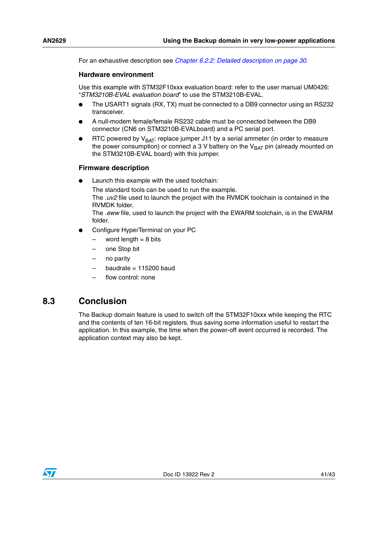For an exhaustive description see *[Chapter 6.2.2: Detailed description on page 30](#page-29-4)*.

#### **Hardware environment**

Use this example with STM32F10xxx evaluation board: refer to the user manual UM0426: "*STM3210B-EVAL evaluation board*" to use the STM3210B-EVAL.

- The USART1 signals (RX, TX) must be connected to a DB9 connector using an RS232 transceiver.
- A null-modem female/female RS232 cable must be connected between the DB9 connector (CN6 on STM3210B-EVALboard) and a PC serial port.
- RTC powered by  $V_{BAT}$ : replace jumper J11 by a serial ammeter (in order to measure the power consumption) or connect a 3 V battery on the  $V_{BAT}$  pin (already mounted on the STM3210B-EVAL board) with this jumper.

#### **Firmware description**

Launch this example with the used toolchain:

The standard tools can be used to run the example. The *.uv2* file used to launch the project with the RVMDK toolchain is contained in the RVMDK folder.

The *.eww* file, used to launch the project with the EWARM toolchain, is in the EWARM folder.

- Configure HyperTerminal on your PC
	- $-$  word length  $= 8$  bits
	- one Stop bit
	- no parity
	- baudrate =  $115200$  baud
	- flow control: none

### <span id="page-40-0"></span>**8.3 Conclusion**

The Backup domain feature is used to switch off the STM32F10xxx while keeping the RTC and the contents of ten 16-bit registers, thus saving some information useful to restart the application. In this example, the time when the power-off event occurred is recorded. The application context may also be kept.

![](_page_40_Picture_20.jpeg)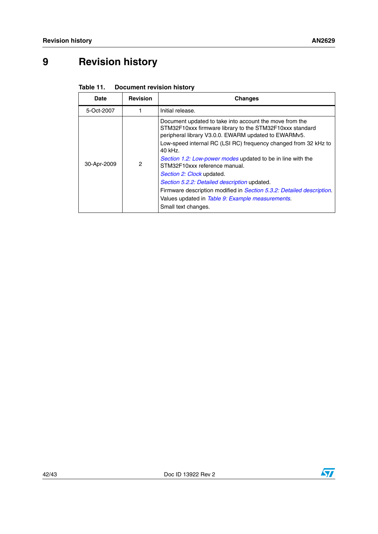## <span id="page-41-0"></span>**9 Revision history**

<span id="page-41-1"></span>

| <b>Document revision history</b> |
|----------------------------------|

| <b>Date</b> | <b>Revision</b> | <b>Changes</b>                                                                                                                                                                                                                                                                                                                                                                                                                                                                                                                                                                |
|-------------|-----------------|-------------------------------------------------------------------------------------------------------------------------------------------------------------------------------------------------------------------------------------------------------------------------------------------------------------------------------------------------------------------------------------------------------------------------------------------------------------------------------------------------------------------------------------------------------------------------------|
| 5-Oct-2007  |                 | Initial release.                                                                                                                                                                                                                                                                                                                                                                                                                                                                                                                                                              |
| 30-Apr-2009 | 2               | Document updated to take into account the move from the<br>STM32F10xxx firmware library to the STM32F10xxx standard<br>peripheral library V3.0.0. EWARM updated to EWARMv5.<br>Low-speed internal RC (LSI RC) frequency changed from 32 kHz to<br>$40$ kHz.<br>Section 1.2: Low-power modes updated to be in line with the<br>STM32F10xxx reference manual.<br>Section 2: Clock updated.<br>Section 5.2.2: Detailed description updated.<br>Firmware description modified in <i>Section 5.3.2: Detailed description</i> .<br>Values updated in Table 9: Example measurements. |
|             |                 | Small text changes.                                                                                                                                                                                                                                                                                                                                                                                                                                                                                                                                                           |

![](_page_41_Picture_7.jpeg)